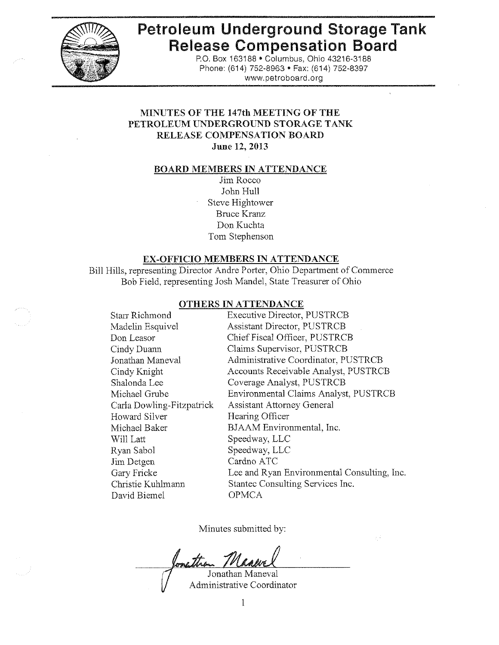

# **Petroleum Underground Storage Tank Release Compensation Board**

P.O. Box 163188 · Columbus, Ohio 43216-3188 Phone: (614) 752-8963 · Fax: (614) 752-8397 www.petroboard.org

k.

# MINUTES OF THE 147th MEETING OF THE PETROLEUM UNDERGROUND STORAGE TANK RELEASE COMPENSATION BOARD June 12, 2013

# **BOARD MEMBERS IN ATTENDANCE**

Jim Rocco John Hull Steve Hightower **Bruce Kranz** Don Kuchta Tom Stephenson

#### **EX-OFFICIO MEMBERS IN ATTENDANCE**

Bill Hills, representing Director Andre Porter, Ohio Department of Commerce Bob Field, representing Josh Mandel, State Treasurer of Ohio

#### OTHERS IN ATTENDANCE

| Starr Richmond            | <b>Executive Director, PUSTRCB</b>          |
|---------------------------|---------------------------------------------|
| Madelin Esquivel          | <b>Assistant Director, PUSTRCB</b>          |
| Don Leasor                | Chief Fiscal Officer, PUSTRCB               |
| Cindy Duann               | Claims Supervisor, PUSTRCB                  |
| Jonathan Maneval          | Administrative Coordinator, PUSTRCB         |
| Cindy Knight              | Accounts Receivable Analyst, PUSTRCB        |
| Shalonda Lee              | Coverage Analyst, PUSTRCB                   |
| Michael Grube             | Environmental Claims Analyst, PUSTRCB       |
| Carla Dowling-Fitzpatrick | Assistant Attorney General                  |
| <b>Howard Silver</b>      | Hearing Officer                             |
| Michael Baker             | BJAAM Environmental, Inc.                   |
| Will Latt                 | Speedway, LLC                               |
| Ryan Sabol                | Speedway, LLC                               |
| Jim Detgen                | Cardno ATC                                  |
| Gary Fricke               | Lee and Ryan Environmental Consulting, Inc. |
| Christie Kuhlmann         | Stantec Consulting Services Inc.            |
| David Biemel              | <b>OPMCA</b>                                |
|                           |                                             |

Minutes submitted by:

an the

Jonathan Maneval Administrative Coordinator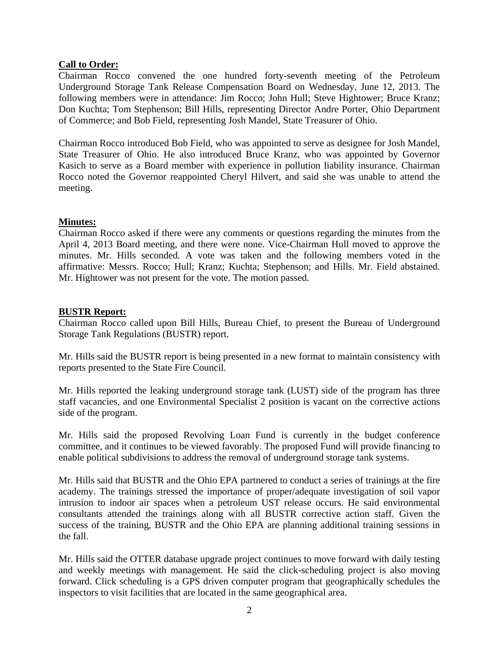# **Call to Order:**

Chairman Rocco convened the one hundred forty-seventh meeting of the Petroleum Underground Storage Tank Release Compensation Board on Wednesday, June 12, 2013. The following members were in attendance: Jim Rocco; John Hull; Steve Hightower; Bruce Kranz; Don Kuchta; Tom Stephenson; Bill Hills, representing Director Andre Porter, Ohio Department of Commerce; and Bob Field, representing Josh Mandel, State Treasurer of Ohio.

Chairman Rocco introduced Bob Field, who was appointed to serve as designee for Josh Mandel, State Treasurer of Ohio. He also introduced Bruce Kranz, who was appointed by Governor Kasich to serve as a Board member with experience in pollution liability insurance. Chairman Rocco noted the Governor reappointed Cheryl Hilvert, and said she was unable to attend the meeting.

## **Minutes:**

Chairman Rocco asked if there were any comments or questions regarding the minutes from the April 4, 2013 Board meeting, and there were none. Vice-Chairman Hull moved to approve the minutes. Mr. Hills seconded. A vote was taken and the following members voted in the affirmative: Messrs. Rocco; Hull; Kranz; Kuchta; Stephenson; and Hills. Mr. Field abstained. Mr. Hightower was not present for the vote. The motion passed.

## **BUSTR Report:**

Chairman Rocco called upon Bill Hills, Bureau Chief, to present the Bureau of Underground Storage Tank Regulations (BUSTR) report.

Mr. Hills said the BUSTR report is being presented in a new format to maintain consistency with reports presented to the State Fire Council.

Mr. Hills reported the leaking underground storage tank (LUST) side of the program has three staff vacancies, and one Environmental Specialist 2 position is vacant on the corrective actions side of the program.

Mr. Hills said the proposed Revolving Loan Fund is currently in the budget conference committee, and it continues to be viewed favorably. The proposed Fund will provide financing to enable political subdivisions to address the removal of underground storage tank systems.

Mr. Hills said that BUSTR and the Ohio EPA partnered to conduct a series of trainings at the fire academy. The trainings stressed the importance of proper/adequate investigation of soil vapor intrusion to indoor air spaces when a petroleum UST release occurs. He said environmental consultants attended the trainings along with all BUSTR corrective action staff. Given the success of the training, BUSTR and the Ohio EPA are planning additional training sessions in the fall.

Mr. Hills said the OTTER database upgrade project continues to move forward with daily testing and weekly meetings with management. He said the click-scheduling project is also moving forward. Click scheduling is a GPS driven computer program that geographically schedules the inspectors to visit facilities that are located in the same geographical area.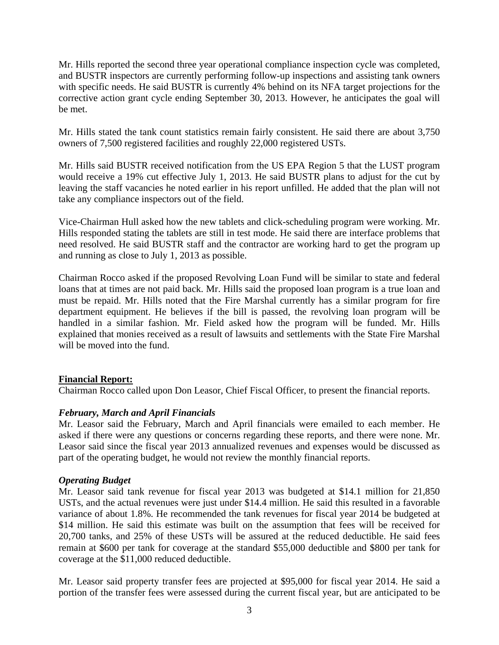Mr. Hills reported the second three year operational compliance inspection cycle was completed, and BUSTR inspectors are currently performing follow-up inspections and assisting tank owners with specific needs. He said BUSTR is currently 4% behind on its NFA target projections for the corrective action grant cycle ending September 30, 2013. However, he anticipates the goal will be met.

Mr. Hills stated the tank count statistics remain fairly consistent. He said there are about 3,750 owners of 7,500 registered facilities and roughly 22,000 registered USTs.

Mr. Hills said BUSTR received notification from the US EPA Region 5 that the LUST program would receive a 19% cut effective July 1, 2013. He said BUSTR plans to adjust for the cut by leaving the staff vacancies he noted earlier in his report unfilled. He added that the plan will not take any compliance inspectors out of the field.

Vice-Chairman Hull asked how the new tablets and click-scheduling program were working. Mr. Hills responded stating the tablets are still in test mode. He said there are interface problems that need resolved. He said BUSTR staff and the contractor are working hard to get the program up and running as close to July 1, 2013 as possible.

Chairman Rocco asked if the proposed Revolving Loan Fund will be similar to state and federal loans that at times are not paid back. Mr. Hills said the proposed loan program is a true loan and must be repaid. Mr. Hills noted that the Fire Marshal currently has a similar program for fire department equipment. He believes if the bill is passed, the revolving loan program will be handled in a similar fashion. Mr. Field asked how the program will be funded. Mr. Hills explained that monies received as a result of lawsuits and settlements with the State Fire Marshal will be moved into the fund.

## **Financial Report:**

Chairman Rocco called upon Don Leasor, Chief Fiscal Officer, to present the financial reports.

## *February, March and April Financials*

Mr. Leasor said the February, March and April financials were emailed to each member. He asked if there were any questions or concerns regarding these reports, and there were none. Mr. Leasor said since the fiscal year 2013 annualized revenues and expenses would be discussed as part of the operating budget, he would not review the monthly financial reports.

## *Operating Budget*

Mr. Leasor said tank revenue for fiscal year 2013 was budgeted at \$14.1 million for 21,850 USTs, and the actual revenues were just under \$14.4 million. He said this resulted in a favorable variance of about 1.8%. He recommended the tank revenues for fiscal year 2014 be budgeted at \$14 million. He said this estimate was built on the assumption that fees will be received for 20,700 tanks, and 25% of these USTs will be assured at the reduced deductible. He said fees remain at \$600 per tank for coverage at the standard \$55,000 deductible and \$800 per tank for coverage at the \$11,000 reduced deductible.

Mr. Leasor said property transfer fees are projected at \$95,000 for fiscal year 2014. He said a portion of the transfer fees were assessed during the current fiscal year, but are anticipated to be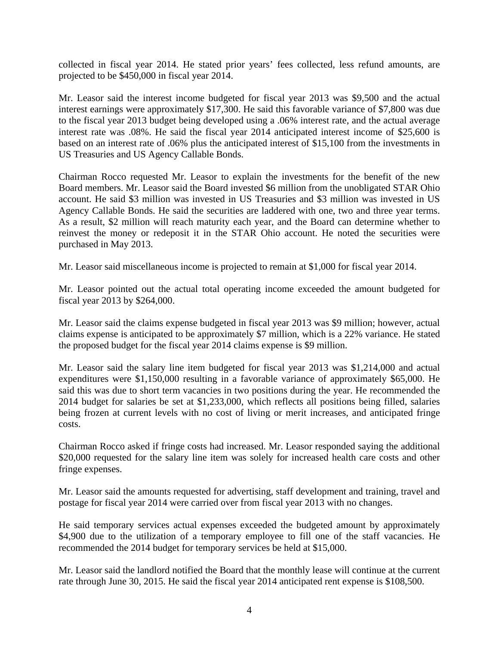collected in fiscal year 2014. He stated prior years' fees collected, less refund amounts, are projected to be \$450,000 in fiscal year 2014.

Mr. Leasor said the interest income budgeted for fiscal year 2013 was \$9,500 and the actual interest earnings were approximately \$17,300. He said this favorable variance of \$7,800 was due to the fiscal year 2013 budget being developed using a .06% interest rate, and the actual average interest rate was .08%. He said the fiscal year 2014 anticipated interest income of \$25,600 is based on an interest rate of .06% plus the anticipated interest of \$15,100 from the investments in US Treasuries and US Agency Callable Bonds.

Chairman Rocco requested Mr. Leasor to explain the investments for the benefit of the new Board members. Mr. Leasor said the Board invested \$6 million from the unobligated STAR Ohio account. He said \$3 million was invested in US Treasuries and \$3 million was invested in US Agency Callable Bonds. He said the securities are laddered with one, two and three year terms. As a result, \$2 million will reach maturity each year, and the Board can determine whether to reinvest the money or redeposit it in the STAR Ohio account. He noted the securities were purchased in May 2013.

Mr. Leasor said miscellaneous income is projected to remain at \$1,000 for fiscal year 2014.

Mr. Leasor pointed out the actual total operating income exceeded the amount budgeted for fiscal year 2013 by \$264,000.

Mr. Leasor said the claims expense budgeted in fiscal year 2013 was \$9 million; however, actual claims expense is anticipated to be approximately \$7 million, which is a 22% variance. He stated the proposed budget for the fiscal year 2014 claims expense is \$9 million.

Mr. Leasor said the salary line item budgeted for fiscal year 2013 was \$1,214,000 and actual expenditures were \$1,150,000 resulting in a favorable variance of approximately \$65,000. He said this was due to short term vacancies in two positions during the year. He recommended the 2014 budget for salaries be set at \$1,233,000, which reflects all positions being filled, salaries being frozen at current levels with no cost of living or merit increases, and anticipated fringe costs.

Chairman Rocco asked if fringe costs had increased. Mr. Leasor responded saying the additional \$20,000 requested for the salary line item was solely for increased health care costs and other fringe expenses.

Mr. Leasor said the amounts requested for advertising, staff development and training, travel and postage for fiscal year 2014 were carried over from fiscal year 2013 with no changes.

He said temporary services actual expenses exceeded the budgeted amount by approximately \$4,900 due to the utilization of a temporary employee to fill one of the staff vacancies. He recommended the 2014 budget for temporary services be held at \$15,000.

Mr. Leasor said the landlord notified the Board that the monthly lease will continue at the current rate through June 30, 2015. He said the fiscal year 2014 anticipated rent expense is \$108,500.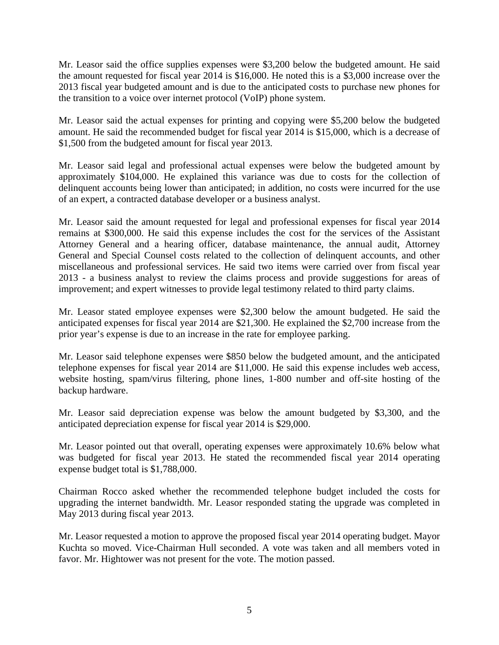Mr. Leasor said the office supplies expenses were \$3,200 below the budgeted amount. He said the amount requested for fiscal year 2014 is \$16,000. He noted this is a \$3,000 increase over the 2013 fiscal year budgeted amount and is due to the anticipated costs to purchase new phones for the transition to a voice over internet protocol (VoIP) phone system.

Mr. Leasor said the actual expenses for printing and copying were \$5,200 below the budgeted amount. He said the recommended budget for fiscal year 2014 is \$15,000, which is a decrease of \$1,500 from the budgeted amount for fiscal year 2013.

Mr. Leasor said legal and professional actual expenses were below the budgeted amount by approximately \$104,000. He explained this variance was due to costs for the collection of delinquent accounts being lower than anticipated; in addition, no costs were incurred for the use of an expert, a contracted database developer or a business analyst.

Mr. Leasor said the amount requested for legal and professional expenses for fiscal year 2014 remains at \$300,000. He said this expense includes the cost for the services of the Assistant Attorney General and a hearing officer, database maintenance, the annual audit, Attorney General and Special Counsel costs related to the collection of delinquent accounts, and other miscellaneous and professional services. He said two items were carried over from fiscal year 2013 - a business analyst to review the claims process and provide suggestions for areas of improvement; and expert witnesses to provide legal testimony related to third party claims.

Mr. Leasor stated employee expenses were \$2,300 below the amount budgeted. He said the anticipated expenses for fiscal year 2014 are \$21,300. He explained the \$2,700 increase from the prior year's expense is due to an increase in the rate for employee parking.

Mr. Leasor said telephone expenses were \$850 below the budgeted amount, and the anticipated telephone expenses for fiscal year 2014 are \$11,000. He said this expense includes web access, website hosting, spam/virus filtering, phone lines, 1-800 number and off-site hosting of the backup hardware.

Mr. Leasor said depreciation expense was below the amount budgeted by \$3,300, and the anticipated depreciation expense for fiscal year 2014 is \$29,000.

Mr. Leasor pointed out that overall, operating expenses were approximately 10.6% below what was budgeted for fiscal year 2013. He stated the recommended fiscal year 2014 operating expense budget total is \$1,788,000.

Chairman Rocco asked whether the recommended telephone budget included the costs for upgrading the internet bandwidth. Mr. Leasor responded stating the upgrade was completed in May 2013 during fiscal year 2013.

Mr. Leasor requested a motion to approve the proposed fiscal year 2014 operating budget. Mayor Kuchta so moved. Vice-Chairman Hull seconded. A vote was taken and all members voted in favor. Mr. Hightower was not present for the vote. The motion passed.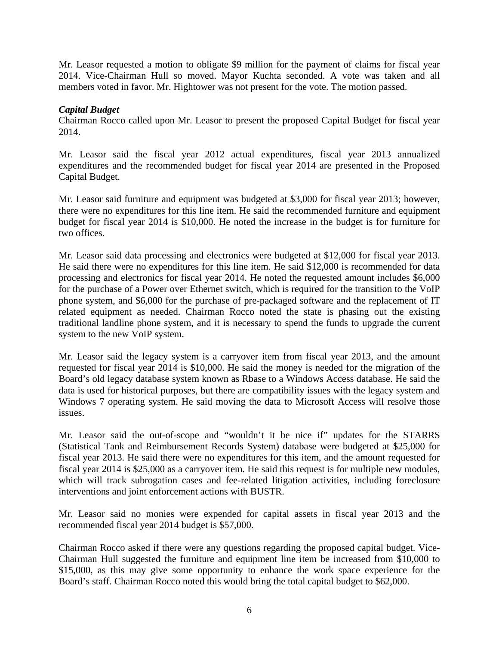Mr. Leasor requested a motion to obligate \$9 million for the payment of claims for fiscal year 2014. Vice-Chairman Hull so moved. Mayor Kuchta seconded. A vote was taken and all members voted in favor. Mr. Hightower was not present for the vote. The motion passed.

# *Capital Budget*

Chairman Rocco called upon Mr. Leasor to present the proposed Capital Budget for fiscal year 2014.

Mr. Leasor said the fiscal year 2012 actual expenditures, fiscal year 2013 annualized expenditures and the recommended budget for fiscal year 2014 are presented in the Proposed Capital Budget.

Mr. Leasor said furniture and equipment was budgeted at \$3,000 for fiscal year 2013; however, there were no expenditures for this line item. He said the recommended furniture and equipment budget for fiscal year 2014 is \$10,000. He noted the increase in the budget is for furniture for two offices.

Mr. Leasor said data processing and electronics were budgeted at \$12,000 for fiscal year 2013. He said there were no expenditures for this line item. He said \$12,000 is recommended for data processing and electronics for fiscal year 2014. He noted the requested amount includes \$6,000 for the purchase of a Power over Ethernet switch, which is required for the transition to the VoIP phone system, and \$6,000 for the purchase of pre-packaged software and the replacement of IT related equipment as needed. Chairman Rocco noted the state is phasing out the existing traditional landline phone system, and it is necessary to spend the funds to upgrade the current system to the new VoIP system.

Mr. Leasor said the legacy system is a carryover item from fiscal year 2013, and the amount requested for fiscal year 2014 is \$10,000. He said the money is needed for the migration of the Board's old legacy database system known as Rbase to a Windows Access database. He said the data is used for historical purposes, but there are compatibility issues with the legacy system and Windows 7 operating system. He said moving the data to Microsoft Access will resolve those issues.

Mr. Leasor said the out-of-scope and "wouldn't it be nice if" updates for the STARRS (Statistical Tank and Reimbursement Records System) database were budgeted at \$25,000 for fiscal year 2013. He said there were no expenditures for this item, and the amount requested for fiscal year 2014 is \$25,000 as a carryover item. He said this request is for multiple new modules, which will track subrogation cases and fee-related litigation activities, including foreclosure interventions and joint enforcement actions with BUSTR.

Mr. Leasor said no monies were expended for capital assets in fiscal year 2013 and the recommended fiscal year 2014 budget is \$57,000.

Chairman Rocco asked if there were any questions regarding the proposed capital budget. Vice-Chairman Hull suggested the furniture and equipment line item be increased from \$10,000 to \$15,000, as this may give some opportunity to enhance the work space experience for the Board's staff. Chairman Rocco noted this would bring the total capital budget to \$62,000.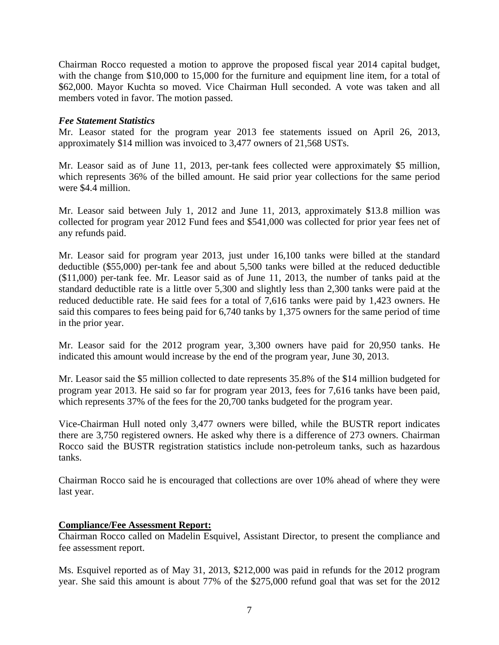Chairman Rocco requested a motion to approve the proposed fiscal year 2014 capital budget, with the change from \$10,000 to 15,000 for the furniture and equipment line item, for a total of \$62,000. Mayor Kuchta so moved. Vice Chairman Hull seconded. A vote was taken and all members voted in favor. The motion passed.

# *Fee Statement Statistics*

Mr. Leasor stated for the program year 2013 fee statements issued on April 26, 2013, approximately \$14 million was invoiced to 3,477 owners of 21,568 USTs.

Mr. Leasor said as of June 11, 2013, per-tank fees collected were approximately \$5 million, which represents 36% of the billed amount. He said prior year collections for the same period were \$4.4 million.

Mr. Leasor said between July 1, 2012 and June 11, 2013, approximately \$13.8 million was collected for program year 2012 Fund fees and \$541,000 was collected for prior year fees net of any refunds paid.

Mr. Leasor said for program year 2013, just under 16,100 tanks were billed at the standard deductible (\$55,000) per-tank fee and about 5,500 tanks were billed at the reduced deductible (\$11,000) per-tank fee. Mr. Leasor said as of June 11, 2013, the number of tanks paid at the standard deductible rate is a little over 5,300 and slightly less than 2,300 tanks were paid at the reduced deductible rate. He said fees for a total of 7,616 tanks were paid by 1,423 owners. He said this compares to fees being paid for 6,740 tanks by 1,375 owners for the same period of time in the prior year.

Mr. Leasor said for the 2012 program year, 3,300 owners have paid for 20,950 tanks. He indicated this amount would increase by the end of the program year, June 30, 2013.

Mr. Leasor said the \$5 million collected to date represents 35.8% of the \$14 million budgeted for program year 2013. He said so far for program year 2013, fees for 7,616 tanks have been paid, which represents 37% of the fees for the 20,700 tanks budgeted for the program year.

Vice-Chairman Hull noted only 3,477 owners were billed, while the BUSTR report indicates there are 3,750 registered owners. He asked why there is a difference of 273 owners. Chairman Rocco said the BUSTR registration statistics include non-petroleum tanks, such as hazardous tanks.

Chairman Rocco said he is encouraged that collections are over 10% ahead of where they were last year.

## **Compliance/Fee Assessment Report:**

Chairman Rocco called on Madelin Esquivel, Assistant Director, to present the compliance and fee assessment report.

Ms. Esquivel reported as of May 31, 2013, \$212,000 was paid in refunds for the 2012 program year. She said this amount is about 77% of the \$275,000 refund goal that was set for the 2012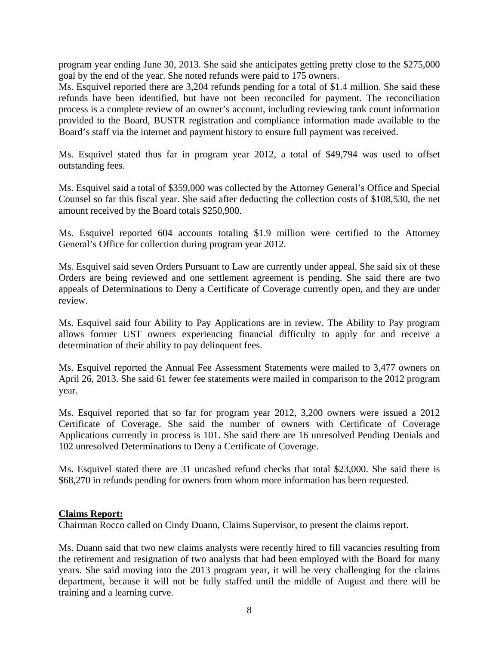program year ending June 30, 2013. She said she anticipates getting pretty close to the \$275,000 goal by the end of the year. She noted refunds were paid to 175 owners.

Ms. Esquivel reported there are 3,204 refunds pending for a total of \$1.4 million. She said these refunds have been identified, but have not been reconciled for payment. The reconciliation process is a complete review of an owner's account, including reviewing tank count information provided to the Board, BUSTR registration and compliance information made available to the Board's staff via the internet and payment history to ensure full payment was received.

Ms. Esquivel stated thus far in program year 2012, a total of \$49,794 was used to offset outstanding fees.

Ms. Esquivel said a total of \$359,000 was collected by the Attorney General's Office and Special Counsel so far this fiscal year. She said after deducting the collection costs of \$108,530, the net amount received by the Board totals \$250,900.

Ms. Esquivel reported 604 accounts totaling \$1.9 million were certified to the Attorney General's Office for collection during program year 2012.

Ms. Esquivel said seven Orders Pursuant to Law are currently under appeal. She said six of these Orders are being reviewed and one settlement agreement is pending. She said there are two appeals of Determinations to Deny a Certificate of Coverage currently open, and they are under review.

Ms. Esquivel said four Ability to Pay Applications are in review. The Ability to Pay program allows former UST owners experiencing financial difficulty to apply for and receive a determination of their ability to pay delinquent fees.

Ms. Esquivel reported the Annual Fee Assessment Statements were mailed to 3,477 owners on April 26, 2013. She said 61 fewer fee statements were mailed in comparison to the 2012 program year.

Ms. Esquivel reported that so far for program year 2012, 3,200 owners were issued a 2012 Certificate of Coverage. She said the number of owners with Certificate of Coverage Applications currently in process is 101. She said there are 16 unresolved Pending Denials and 102 unresolved Determinations to Deny a Certificate of Coverage.

Ms. Esquivel stated there are 31 uncashed refund checks that total \$23,000. She said there is \$68,270 in refunds pending for owners from whom more information has been requested.

## **Claims Report:**

Chairman Rocco called on Cindy Duann, Claims Supervisor, to present the claims report.

Ms. Duann said that two new claims analysts were recently hired to fill vacancies resulting from the retirement and resignation of two analysts that had been employed with the Board for many years. She said moving into the 2013 program year, it will be very challenging for the claims department, because it will not be fully staffed until the middle of August and there will be training and a learning curve.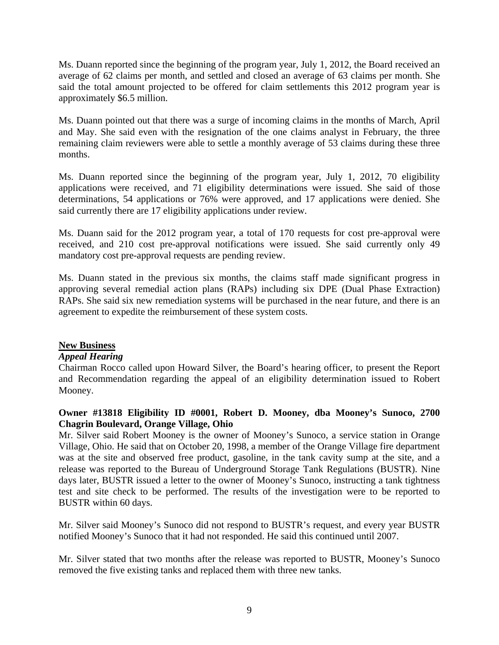Ms. Duann reported since the beginning of the program year, July 1, 2012, the Board received an average of 62 claims per month, and settled and closed an average of 63 claims per month. She said the total amount projected to be offered for claim settlements this 2012 program year is approximately \$6.5 million.

Ms. Duann pointed out that there was a surge of incoming claims in the months of March, April and May. She said even with the resignation of the one claims analyst in February, the three remaining claim reviewers were able to settle a monthly average of 53 claims during these three months.

Ms. Duann reported since the beginning of the program year, July 1, 2012, 70 eligibility applications were received, and 71 eligibility determinations were issued. She said of those determinations, 54 applications or 76% were approved, and 17 applications were denied. She said currently there are 17 eligibility applications under review.

Ms. Duann said for the 2012 program year, a total of 170 requests for cost pre-approval were received, and 210 cost pre-approval notifications were issued. She said currently only 49 mandatory cost pre-approval requests are pending review.

Ms. Duann stated in the previous six months, the claims staff made significant progress in approving several remedial action plans (RAPs) including six DPE (Dual Phase Extraction) RAPs. She said six new remediation systems will be purchased in the near future, and there is an agreement to expedite the reimbursement of these system costs.

## **New Business**

## *Appeal Hearing*

Chairman Rocco called upon Howard Silver, the Board's hearing officer, to present the Report and Recommendation regarding the appeal of an eligibility determination issued to Robert Mooney.

# **Owner #13818 Eligibility ID #0001, Robert D. Mooney, dba Mooney's Sunoco, 2700 Chagrin Boulevard, Orange Village, Ohio**

Mr. Silver said Robert Mooney is the owner of Mooney's Sunoco, a service station in Orange Village, Ohio. He said that on October 20, 1998, a member of the Orange Village fire department was at the site and observed free product, gasoline, in the tank cavity sump at the site, and a release was reported to the Bureau of Underground Storage Tank Regulations (BUSTR). Nine days later, BUSTR issued a letter to the owner of Mooney's Sunoco, instructing a tank tightness test and site check to be performed. The results of the investigation were to be reported to BUSTR within 60 days.

Mr. Silver said Mooney's Sunoco did not respond to BUSTR's request, and every year BUSTR notified Mooney's Sunoco that it had not responded. He said this continued until 2007.

Mr. Silver stated that two months after the release was reported to BUSTR, Mooney's Sunoco removed the five existing tanks and replaced them with three new tanks.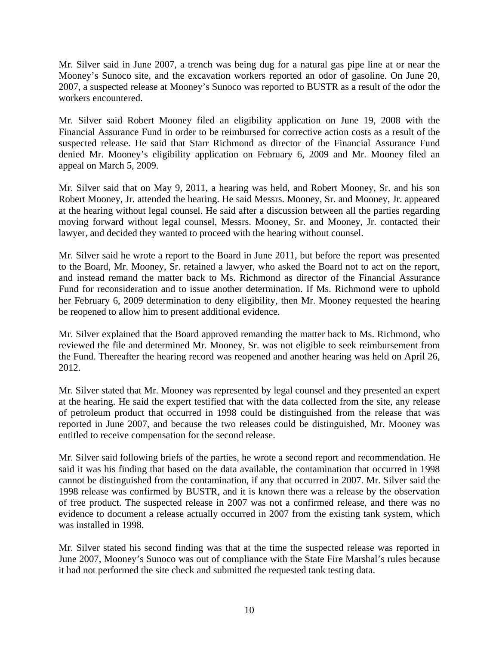Mr. Silver said in June 2007, a trench was being dug for a natural gas pipe line at or near the Mooney's Sunoco site, and the excavation workers reported an odor of gasoline. On June 20, 2007, a suspected release at Mooney's Sunoco was reported to BUSTR as a result of the odor the workers encountered.

Mr. Silver said Robert Mooney filed an eligibility application on June 19, 2008 with the Financial Assurance Fund in order to be reimbursed for corrective action costs as a result of the suspected release. He said that Starr Richmond as director of the Financial Assurance Fund denied Mr. Mooney's eligibility application on February 6, 2009 and Mr. Mooney filed an appeal on March 5, 2009.

Mr. Silver said that on May 9, 2011, a hearing was held, and Robert Mooney, Sr. and his son Robert Mooney, Jr. attended the hearing. He said Messrs. Mooney, Sr. and Mooney, Jr. appeared at the hearing without legal counsel. He said after a discussion between all the parties regarding moving forward without legal counsel, Messrs. Mooney, Sr. and Mooney, Jr. contacted their lawyer, and decided they wanted to proceed with the hearing without counsel.

Mr. Silver said he wrote a report to the Board in June 2011, but before the report was presented to the Board, Mr. Mooney, Sr. retained a lawyer, who asked the Board not to act on the report, and instead remand the matter back to Ms. Richmond as director of the Financial Assurance Fund for reconsideration and to issue another determination. If Ms. Richmond were to uphold her February 6, 2009 determination to deny eligibility, then Mr. Mooney requested the hearing be reopened to allow him to present additional evidence.

Mr. Silver explained that the Board approved remanding the matter back to Ms. Richmond, who reviewed the file and determined Mr. Mooney, Sr. was not eligible to seek reimbursement from the Fund. Thereafter the hearing record was reopened and another hearing was held on April 26, 2012.

Mr. Silver stated that Mr. Mooney was represented by legal counsel and they presented an expert at the hearing. He said the expert testified that with the data collected from the site, any release of petroleum product that occurred in 1998 could be distinguished from the release that was reported in June 2007, and because the two releases could be distinguished, Mr. Mooney was entitled to receive compensation for the second release.

Mr. Silver said following briefs of the parties, he wrote a second report and recommendation. He said it was his finding that based on the data available, the contamination that occurred in 1998 cannot be distinguished from the contamination, if any that occurred in 2007. Mr. Silver said the 1998 release was confirmed by BUSTR, and it is known there was a release by the observation of free product. The suspected release in 2007 was not a confirmed release, and there was no evidence to document a release actually occurred in 2007 from the existing tank system, which was installed in 1998.

Mr. Silver stated his second finding was that at the time the suspected release was reported in June 2007, Mooney's Sunoco was out of compliance with the State Fire Marshal's rules because it had not performed the site check and submitted the requested tank testing data.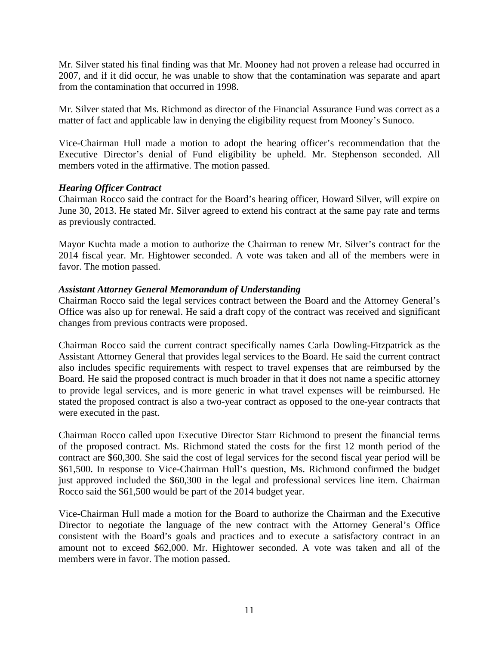Mr. Silver stated his final finding was that Mr. Mooney had not proven a release had occurred in 2007, and if it did occur, he was unable to show that the contamination was separate and apart from the contamination that occurred in 1998.

Mr. Silver stated that Ms. Richmond as director of the Financial Assurance Fund was correct as a matter of fact and applicable law in denying the eligibility request from Mooney's Sunoco.

Vice-Chairman Hull made a motion to adopt the hearing officer's recommendation that the Executive Director's denial of Fund eligibility be upheld. Mr. Stephenson seconded. All members voted in the affirmative. The motion passed.

# *Hearing Officer Contract*

Chairman Rocco said the contract for the Board's hearing officer, Howard Silver, will expire on June 30, 2013. He stated Mr. Silver agreed to extend his contract at the same pay rate and terms as previously contracted.

Mayor Kuchta made a motion to authorize the Chairman to renew Mr. Silver's contract for the 2014 fiscal year. Mr. Hightower seconded. A vote was taken and all of the members were in favor. The motion passed.

# *Assistant Attorney General Memorandum of Understanding*

Chairman Rocco said the legal services contract between the Board and the Attorney General's Office was also up for renewal. He said a draft copy of the contract was received and significant changes from previous contracts were proposed.

Chairman Rocco said the current contract specifically names Carla Dowling-Fitzpatrick as the Assistant Attorney General that provides legal services to the Board. He said the current contract also includes specific requirements with respect to travel expenses that are reimbursed by the Board. He said the proposed contract is much broader in that it does not name a specific attorney to provide legal services, and is more generic in what travel expenses will be reimbursed. He stated the proposed contract is also a two-year contract as opposed to the one-year contracts that were executed in the past.

Chairman Rocco called upon Executive Director Starr Richmond to present the financial terms of the proposed contract. Ms. Richmond stated the costs for the first 12 month period of the contract are \$60,300. She said the cost of legal services for the second fiscal year period will be \$61,500. In response to Vice-Chairman Hull's question, Ms. Richmond confirmed the budget just approved included the \$60,300 in the legal and professional services line item. Chairman Rocco said the \$61,500 would be part of the 2014 budget year.

Vice-Chairman Hull made a motion for the Board to authorize the Chairman and the Executive Director to negotiate the language of the new contract with the Attorney General's Office consistent with the Board's goals and practices and to execute a satisfactory contract in an amount not to exceed \$62,000. Mr. Hightower seconded. A vote was taken and all of the members were in favor. The motion passed.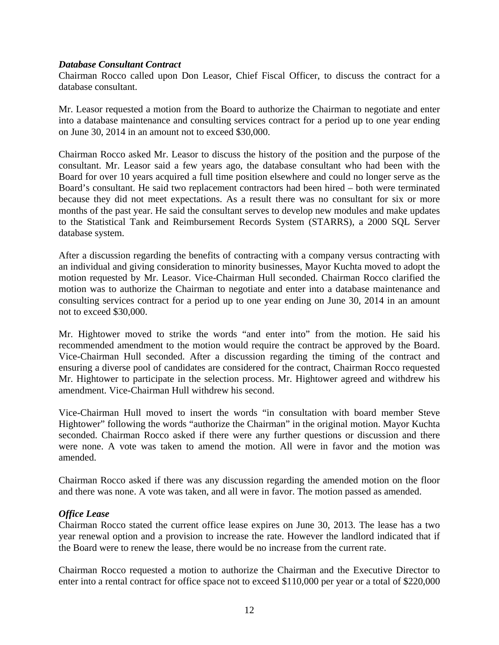#### *Database Consultant Contract*

Chairman Rocco called upon Don Leasor, Chief Fiscal Officer, to discuss the contract for a database consultant.

Mr. Leasor requested a motion from the Board to authorize the Chairman to negotiate and enter into a database maintenance and consulting services contract for a period up to one year ending on June 30, 2014 in an amount not to exceed \$30,000.

Chairman Rocco asked Mr. Leasor to discuss the history of the position and the purpose of the consultant. Mr. Leasor said a few years ago, the database consultant who had been with the Board for over 10 years acquired a full time position elsewhere and could no longer serve as the Board's consultant. He said two replacement contractors had been hired – both were terminated because they did not meet expectations. As a result there was no consultant for six or more months of the past year. He said the consultant serves to develop new modules and make updates to the Statistical Tank and Reimbursement Records System (STARRS), a 2000 SQL Server database system.

After a discussion regarding the benefits of contracting with a company versus contracting with an individual and giving consideration to minority businesses, Mayor Kuchta moved to adopt the motion requested by Mr. Leasor. Vice-Chairman Hull seconded. Chairman Rocco clarified the motion was to authorize the Chairman to negotiate and enter into a database maintenance and consulting services contract for a period up to one year ending on June 30, 2014 in an amount not to exceed \$30,000.

Mr. Hightower moved to strike the words "and enter into" from the motion. He said his recommended amendment to the motion would require the contract be approved by the Board. Vice-Chairman Hull seconded. After a discussion regarding the timing of the contract and ensuring a diverse pool of candidates are considered for the contract, Chairman Rocco requested Mr. Hightower to participate in the selection process. Mr. Hightower agreed and withdrew his amendment. Vice-Chairman Hull withdrew his second.

Vice-Chairman Hull moved to insert the words "in consultation with board member Steve Hightower" following the words "authorize the Chairman" in the original motion. Mayor Kuchta seconded. Chairman Rocco asked if there were any further questions or discussion and there were none. A vote was taken to amend the motion. All were in favor and the motion was amended.

Chairman Rocco asked if there was any discussion regarding the amended motion on the floor and there was none. A vote was taken, and all were in favor. The motion passed as amended.

## *Office Lease*

Chairman Rocco stated the current office lease expires on June 30, 2013. The lease has a two year renewal option and a provision to increase the rate. However the landlord indicated that if the Board were to renew the lease, there would be no increase from the current rate.

Chairman Rocco requested a motion to authorize the Chairman and the Executive Director to enter into a rental contract for office space not to exceed \$110,000 per year or a total of \$220,000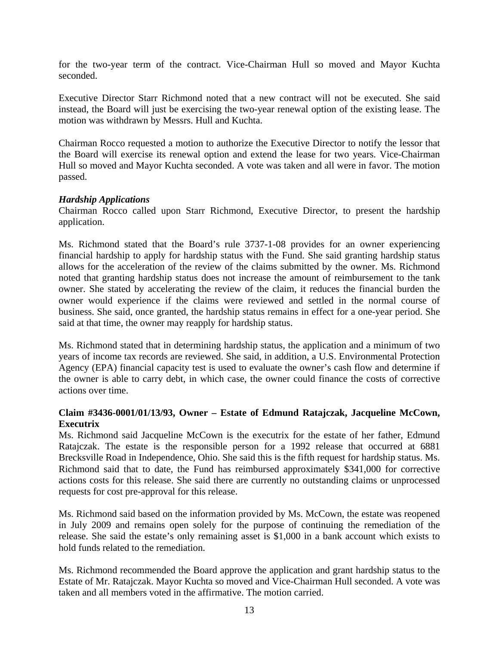for the two-year term of the contract. Vice-Chairman Hull so moved and Mayor Kuchta seconded.

Executive Director Starr Richmond noted that a new contract will not be executed. She said instead, the Board will just be exercising the two-year renewal option of the existing lease. The motion was withdrawn by Messrs. Hull and Kuchta.

Chairman Rocco requested a motion to authorize the Executive Director to notify the lessor that the Board will exercise its renewal option and extend the lease for two years. Vice-Chairman Hull so moved and Mayor Kuchta seconded. A vote was taken and all were in favor. The motion passed.

# *Hardship Applications*

Chairman Rocco called upon Starr Richmond, Executive Director, to present the hardship application.

Ms. Richmond stated that the Board's rule 3737-1-08 provides for an owner experiencing financial hardship to apply for hardship status with the Fund. She said granting hardship status allows for the acceleration of the review of the claims submitted by the owner. Ms. Richmond noted that granting hardship status does not increase the amount of reimbursement to the tank owner. She stated by accelerating the review of the claim, it reduces the financial burden the owner would experience if the claims were reviewed and settled in the normal course of business. She said, once granted, the hardship status remains in effect for a one-year period. She said at that time, the owner may reapply for hardship status.

Ms. Richmond stated that in determining hardship status, the application and a minimum of two years of income tax records are reviewed. She said, in addition, a U.S. Environmental Protection Agency (EPA) financial capacity test is used to evaluate the owner's cash flow and determine if the owner is able to carry debt, in which case, the owner could finance the costs of corrective actions over time.

# **Claim #3436-0001/01/13/93, Owner – Estate of Edmund Ratajczak, Jacqueline McCown, Executrix**

Ms. Richmond said Jacqueline McCown is the executrix for the estate of her father, Edmund Ratajczak. The estate is the responsible person for a 1992 release that occurred at 6881 Brecksville Road in Independence, Ohio. She said this is the fifth request for hardship status. Ms. Richmond said that to date, the Fund has reimbursed approximately \$341,000 for corrective actions costs for this release. She said there are currently no outstanding claims or unprocessed requests for cost pre-approval for this release.

Ms. Richmond said based on the information provided by Ms. McCown, the estate was reopened in July 2009 and remains open solely for the purpose of continuing the remediation of the release. She said the estate's only remaining asset is \$1,000 in a bank account which exists to hold funds related to the remediation.

Ms. Richmond recommended the Board approve the application and grant hardship status to the Estate of Mr. Ratajczak. Mayor Kuchta so moved and Vice-Chairman Hull seconded. A vote was taken and all members voted in the affirmative. The motion carried.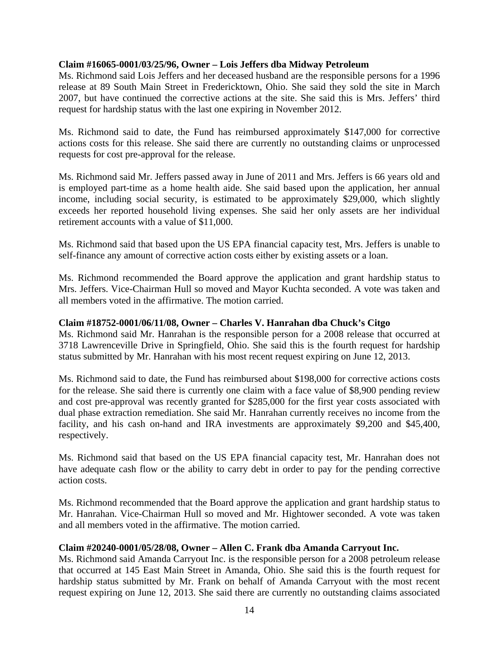## **Claim #16065-0001/03/25/96, Owner – Lois Jeffers dba Midway Petroleum**

Ms. Richmond said Lois Jeffers and her deceased husband are the responsible persons for a 1996 release at 89 South Main Street in Fredericktown, Ohio. She said they sold the site in March 2007, but have continued the corrective actions at the site. She said this is Mrs. Jeffers' third request for hardship status with the last one expiring in November 2012.

Ms. Richmond said to date, the Fund has reimbursed approximately \$147,000 for corrective actions costs for this release. She said there are currently no outstanding claims or unprocessed requests for cost pre-approval for the release.

Ms. Richmond said Mr. Jeffers passed away in June of 2011 and Mrs. Jeffers is 66 years old and is employed part-time as a home health aide. She said based upon the application, her annual income, including social security, is estimated to be approximately \$29,000, which slightly exceeds her reported household living expenses. She said her only assets are her individual retirement accounts with a value of \$11,000.

Ms. Richmond said that based upon the US EPA financial capacity test, Mrs. Jeffers is unable to self-finance any amount of corrective action costs either by existing assets or a loan.

Ms. Richmond recommended the Board approve the application and grant hardship status to Mrs. Jeffers. Vice-Chairman Hull so moved and Mayor Kuchta seconded. A vote was taken and all members voted in the affirmative. The motion carried.

## **Claim #18752-0001/06/11/08, Owner – Charles V. Hanrahan dba Chuck's Citgo**

Ms. Richmond said Mr. Hanrahan is the responsible person for a 2008 release that occurred at 3718 Lawrenceville Drive in Springfield, Ohio. She said this is the fourth request for hardship status submitted by Mr. Hanrahan with his most recent request expiring on June 12, 2013.

Ms. Richmond said to date, the Fund has reimbursed about \$198,000 for corrective actions costs for the release. She said there is currently one claim with a face value of \$8,900 pending review and cost pre-approval was recently granted for \$285,000 for the first year costs associated with dual phase extraction remediation. She said Mr. Hanrahan currently receives no income from the facility, and his cash on-hand and IRA investments are approximately \$9,200 and \$45,400, respectively.

Ms. Richmond said that based on the US EPA financial capacity test, Mr. Hanrahan does not have adequate cash flow or the ability to carry debt in order to pay for the pending corrective action costs.

Ms. Richmond recommended that the Board approve the application and grant hardship status to Mr. Hanrahan. Vice-Chairman Hull so moved and Mr. Hightower seconded. A vote was taken and all members voted in the affirmative. The motion carried.

## **Claim #20240-0001/05/28/08, Owner – Allen C. Frank dba Amanda Carryout Inc.**

Ms. Richmond said Amanda Carryout Inc. is the responsible person for a 2008 petroleum release that occurred at 145 East Main Street in Amanda, Ohio. She said this is the fourth request for hardship status submitted by Mr. Frank on behalf of Amanda Carryout with the most recent request expiring on June 12, 2013. She said there are currently no outstanding claims associated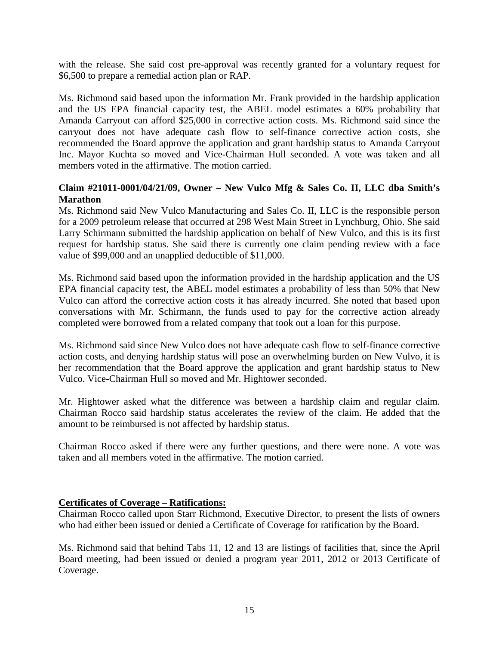with the release. She said cost pre-approval was recently granted for a voluntary request for \$6,500 to prepare a remedial action plan or RAP.

Ms. Richmond said based upon the information Mr. Frank provided in the hardship application and the US EPA financial capacity test, the ABEL model estimates a 60% probability that Amanda Carryout can afford \$25,000 in corrective action costs. Ms. Richmond said since the carryout does not have adequate cash flow to self-finance corrective action costs, she recommended the Board approve the application and grant hardship status to Amanda Carryout Inc. Mayor Kuchta so moved and Vice-Chairman Hull seconded. A vote was taken and all members voted in the affirmative. The motion carried.

# **Claim #21011-0001/04/21/09, Owner – New Vulco Mfg & Sales Co. II, LLC dba Smith's Marathon**

Ms. Richmond said New Vulco Manufacturing and Sales Co. II, LLC is the responsible person for a 2009 petroleum release that occurred at 298 West Main Street in Lynchburg, Ohio. She said Larry Schirmann submitted the hardship application on behalf of New Vulco, and this is its first request for hardship status. She said there is currently one claim pending review with a face value of \$99,000 and an unapplied deductible of \$11,000.

Ms. Richmond said based upon the information provided in the hardship application and the US EPA financial capacity test, the ABEL model estimates a probability of less than 50% that New Vulco can afford the corrective action costs it has already incurred. She noted that based upon conversations with Mr. Schirmann, the funds used to pay for the corrective action already completed were borrowed from a related company that took out a loan for this purpose.

Ms. Richmond said since New Vulco does not have adequate cash flow to self-finance corrective action costs, and denying hardship status will pose an overwhelming burden on New Vulvo, it is her recommendation that the Board approve the application and grant hardship status to New Vulco. Vice-Chairman Hull so moved and Mr. Hightower seconded.

Mr. Hightower asked what the difference was between a hardship claim and regular claim. Chairman Rocco said hardship status accelerates the review of the claim. He added that the amount to be reimbursed is not affected by hardship status.

Chairman Rocco asked if there were any further questions, and there were none. A vote was taken and all members voted in the affirmative. The motion carried.

# **Certificates of Coverage – Ratifications:**

Chairman Rocco called upon Starr Richmond, Executive Director, to present the lists of owners who had either been issued or denied a Certificate of Coverage for ratification by the Board.

Ms. Richmond said that behind Tabs 11, 12 and 13 are listings of facilities that, since the April Board meeting, had been issued or denied a program year 2011, 2012 or 2013 Certificate of Coverage.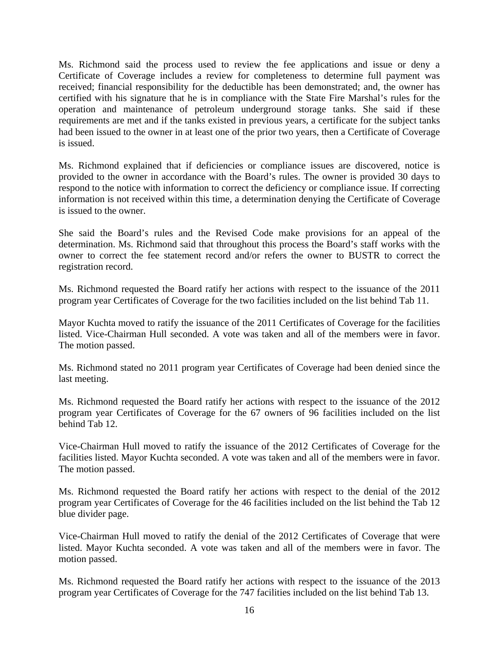Ms. Richmond said the process used to review the fee applications and issue or deny a Certificate of Coverage includes a review for completeness to determine full payment was received; financial responsibility for the deductible has been demonstrated; and, the owner has certified with his signature that he is in compliance with the State Fire Marshal's rules for the operation and maintenance of petroleum underground storage tanks. She said if these requirements are met and if the tanks existed in previous years, a certificate for the subject tanks had been issued to the owner in at least one of the prior two years, then a Certificate of Coverage is issued.

Ms. Richmond explained that if deficiencies or compliance issues are discovered, notice is provided to the owner in accordance with the Board's rules. The owner is provided 30 days to respond to the notice with information to correct the deficiency or compliance issue. If correcting information is not received within this time, a determination denying the Certificate of Coverage is issued to the owner.

She said the Board's rules and the Revised Code make provisions for an appeal of the determination. Ms. Richmond said that throughout this process the Board's staff works with the owner to correct the fee statement record and/or refers the owner to BUSTR to correct the registration record.

Ms. Richmond requested the Board ratify her actions with respect to the issuance of the 2011 program year Certificates of Coverage for the two facilities included on the list behind Tab 11.

Mayor Kuchta moved to ratify the issuance of the 2011 Certificates of Coverage for the facilities listed. Vice-Chairman Hull seconded. A vote was taken and all of the members were in favor. The motion passed.

Ms. Richmond stated no 2011 program year Certificates of Coverage had been denied since the last meeting.

Ms. Richmond requested the Board ratify her actions with respect to the issuance of the 2012 program year Certificates of Coverage for the 67 owners of 96 facilities included on the list behind Tab 12.

Vice-Chairman Hull moved to ratify the issuance of the 2012 Certificates of Coverage for the facilities listed. Mayor Kuchta seconded. A vote was taken and all of the members were in favor. The motion passed.

Ms. Richmond requested the Board ratify her actions with respect to the denial of the 2012 program year Certificates of Coverage for the 46 facilities included on the list behind the Tab 12 blue divider page.

Vice-Chairman Hull moved to ratify the denial of the 2012 Certificates of Coverage that were listed. Mayor Kuchta seconded. A vote was taken and all of the members were in favor. The motion passed.

Ms. Richmond requested the Board ratify her actions with respect to the issuance of the 2013 program year Certificates of Coverage for the 747 facilities included on the list behind Tab 13.